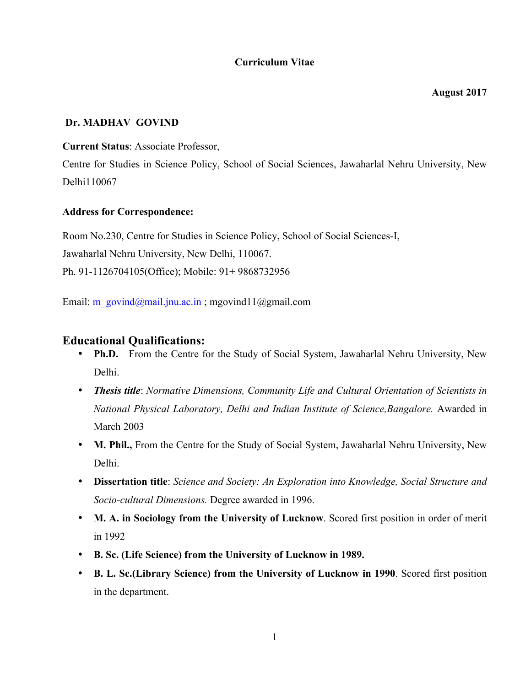# **Curriculum Vitae**

**August 2017**

### **Dr. MADHAV GOVIND**

**Current Status**: Associate Professor,

Centre for Studies in Science Policy, School of Social Sciences, Jawaharlal Nehru University, New Delhi110067

### **Address for Correspondence:**

Room No.230, Centre for Studies in Science Policy, School of Social Sciences-I, Jawaharlal Nehru University, New Delhi, 110067. Ph. 91-1126704105(Office); Mobile: 91+ 9868732956

Email: m\_govind@mail.jnu.ac.in ; mgovind11@gmail.com

# **Educational Qualifications:**

- **Ph.D.** From the Centre for the Study of Social System, Jawaharlal Nehru University, New Delhi.
- *Thesis title*: *Normative Dimensions, Community Life and Cultural Orientation of Scientists in National Physical Laboratory, Delhi and Indian Institute of Science,Bangalore.* Awarded in March 2003
- **M. Phil.,** From the Centre for the Study of Social System, Jawaharlal Nehru University, New Delhi.
- **Dissertation title**: *Science and Society: An Exploration into Knowledge, Social Structure and Socio-cultural Dimensions.* Degree awarded in 1996.
- **M. A. in Sociology from the University of Lucknow**. Scored first position in order of merit in 1992
- **B. Sc. (Life Science) from the University of Lucknow in 1989.**
- **B. L. Sc.(Library Science) from the University of Lucknow in 1990**. Scored first position in the department.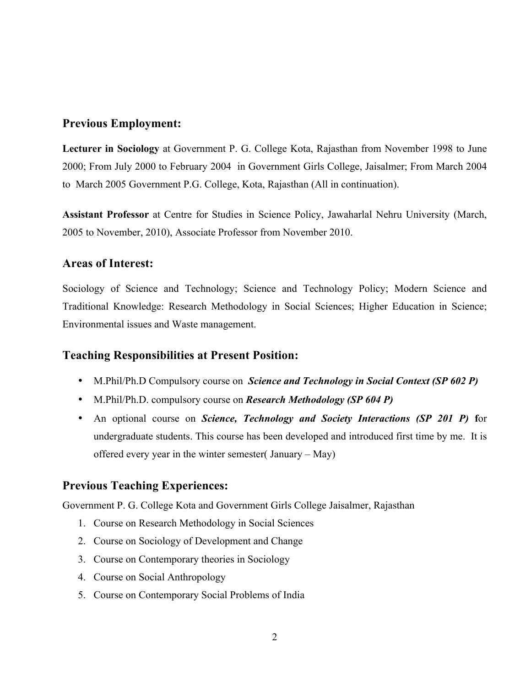# **Previous Employment:**

**Lecturer in Sociology** at Government P. G. College Kota, Rajasthan from November 1998 to June 2000; From July 2000 to February 2004 in Government Girls College, Jaisalmer; From March 2004 to March 2005 Government P.G. College, Kota, Rajasthan (All in continuation).

**Assistant Professor** at Centre for Studies in Science Policy, Jawaharlal Nehru University (March, 2005 to November, 2010), Associate Professor from November 2010.

# **Areas of Interest:**

Sociology of Science and Technology; Science and Technology Policy; Modern Science and Traditional Knowledge: Research Methodology in Social Sciences; Higher Education in Science; Environmental issues and Waste management.

# **Teaching Responsibilities at Present Position:**

- M.Phil/Ph.D Compulsory course on *Science and Technology in Social Context (SP 602 P)*
- M.Phil/Ph.D. compulsory course on *Research Methodology (SP 604 P)*
- An optional course on *Science, Technology and Society Interactions (SP 201 P)* **f**or undergraduate students. This course has been developed and introduced first time by me. It is offered every year in the winter semester( January – May)

# **Previous Teaching Experiences:**

Government P. G. College Kota and Government Girls College Jaisalmer, Rajasthan

- 1. Course on Research Methodology in Social Sciences
- 2. Course on Sociology of Development and Change
- 3. Course on Contemporary theories in Sociology
- 4. Course on Social Anthropology
- 5. Course on Contemporary Social Problems of India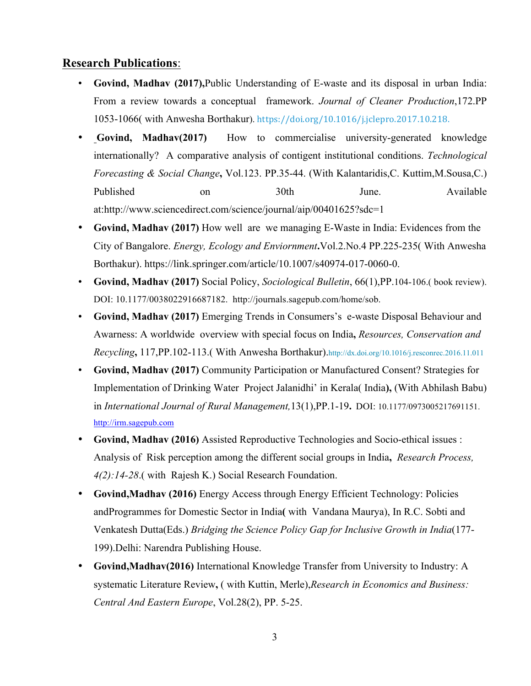# **Research Publications**:

- **Govind, Madhav (2017),**Public Understanding of E-waste and its disposal in urban India: From a review towards a conceptual framework. *Journal of Cleaner Production*,172.PP 1053-1066( with Anwesha Borthakur). https://doi.org/10.1016/j.jclepro.2017.10.218.
- **Govind, Madhav(2017)** How to commercialise university-generated knowledge internationally? A comparative analysis of contigent institutional conditions. *Technological Forecasting & Social Change***,** Vol.123. PP.35-44. (With Kalantaridis,C. Kuttim,M.Sousa,C.) Published on 30th June. Available at:http://www.sciencedirect.com/science/journal/aip/00401625?sdc=1
- **Govind, Madhav (2017)** How well are we managing E-Waste in India: Evidences from the City of Bangalore. *Energy, Ecology and Enviornment***.**Vol.2.No.4 PP.225-235( With Anwesha Borthakur). https://link.springer.com/article/10.1007/s40974-017-0060-0.
- **Govind, Madhav (2017)** Social Policy, *Sociological Bulletin*, 66(1),PP.104-106.( book review). DOI: 10.1177/0038022916687182. http://journals.sagepub.com/home/sob.
- **Govind, Madhav (2017)** Emerging Trends in Consumers's e-waste Disposal Behaviour and Awarness: A worldwide overview with special focus on India**,** *Resources, Conservation and Recycling***,** 117,PP.102-113.( With Anwesha Borthakur).http://dx.doi.org/10.1016/j.resconrec.2016.11.011
- **Govind, Madhav (2017)** Community Participation or Manufactured Consent? Strategies for Implementation of Drinking Water Project Jalanidhi' in Kerala( India**),** (With Abhilash Babu) in *International Journal of Rural Management,*13(1),PP.1-19**.** DOI: 10.1177/0973005217691151. http://irm.sagepub.com
- **Govind, Madhav (2016)** Assisted Reproductive Technologies and Socio-ethical issues : Analysis of Risk perception among the different social groups in India**,** *Research Process, 4(2):14-28*.( with Rajesh K.) Social Research Foundation.
- **Govind,Madhav (2016)** Energy Access through Energy Efficient Technology: Policies andProgrammes for Domestic Sector in India**(** with Vandana Maurya), In R.C. Sobti and Venkatesh Dutta(Eds.) *Bridging the Science Policy Gap for Inclusive Growth in India*(177- 199).Delhi: Narendra Publishing House.
- **Govind,Madhav(2016)** International Knowledge Transfer from University to Industry: A systematic Literature Review**,** ( with Kuttin, Merle),*Research in Economics and Business: Central And Eastern Europe*, Vol.28(2), PP. 5-25.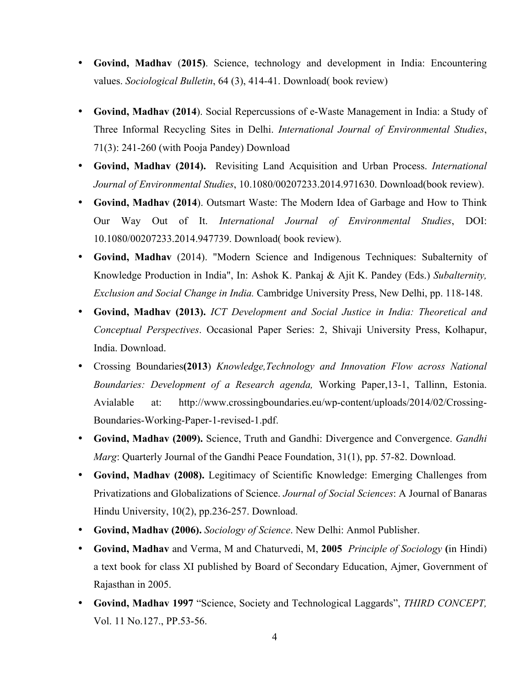- **Govind, Madhav** (**2015)**. Science, technology and development in India: Encountering values. *Sociological Bulletin*, 64 (3), 414-41. Download( book review)
- **Govind, Madhav (2014**). Social Repercussions of e-Waste Management in India: a Study of Three Informal Recycling Sites in Delhi. *International Journal of Environmental Studies*, 71(3): 241-260 (with Pooja Pandey) Download
- **Govind, Madhav (2014).** Revisiting Land Acquisition and Urban Process. *International Journal of Environmental Studies*, 10.1080/00207233.2014.971630. Download(book review).
- **Govind, Madhav (2014**). Outsmart Waste: The Modern Idea of Garbage and How to Think Our Way Out of It. *International Journal of Environmental Studies*, DOI: 10.1080/00207233.2014.947739. Download( book review).
- **Govind, Madhav** (2014). "Modern Science and Indigenous Techniques: Subalternity of Knowledge Production in India", In: Ashok K. Pankaj & Ajit K. Pandey (Eds.) *Subalternity, Exclusion and Social Change in India.* Cambridge University Press, New Delhi, pp. 118-148.
- **Govind, Madhav (2013).** *ICT Development and Social Justice in India: Theoretical and Conceptual Perspectives*. Occasional Paper Series: 2, Shivaji University Press, Kolhapur, India. Download.
- Crossing Boundaries**(2013**) *Knowledge,Technology and Innovation Flow across National Boundaries: Development of a Research agenda,* Working Paper,13-1, Tallinn, Estonia. Avialable at: http://www.crossingboundaries.eu/wp-content/uploads/2014/02/Crossing-Boundaries-Working-Paper-1-revised-1.pdf.
- **Govind, Madhav (2009).** Science, Truth and Gandhi: Divergence and Convergence. *Gandhi Marg*: Quarterly Journal of the Gandhi Peace Foundation, 31(1), pp. 57-82. Download.
- **Govind, Madhav (2008).** Legitimacy of Scientific Knowledge: Emerging Challenges from Privatizations and Globalizations of Science. *Journal of Social Sciences*: A Journal of Banaras Hindu University, 10(2), pp.236-257. Download.
- **Govind, Madhav (2006).** *Sociology of Science*. New Delhi: Anmol Publisher.
- **Govind, Madhav** and Verma, M and Chaturvedi, M, **2005** *Principle of Sociology* **(**in Hindi) a text book for class XI published by Board of Secondary Education, Ajmer, Government of Rajasthan in 2005.
- **Govind, Madhav 1997** "Science, Society and Technological Laggards", *THIRD CONCEPT,* Vol. 11 No.127., PP.53-56.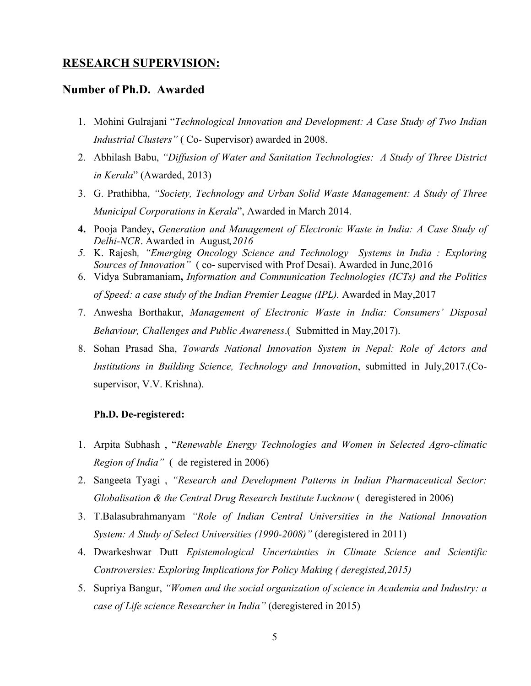### **RESEARCH SUPERVISION:**

### **Number of Ph.D. Awarded**

- 1. Mohini Gulrajani "*Technological Innovation and Development: A Case Study of Two Indian Industrial Clusters"* ( Co- Supervisor) awarded in 2008.
- 2. Abhilash Babu, *"Diffusion of Water and Sanitation Technologies: A Study of Three District in Kerala*" (Awarded, 2013)
- 3. G. Prathibha, *"Society, Technology and Urban Solid Waste Management: A Study of Three Municipal Corporations in Kerala*", Awarded in March 2014.
- **4.** Pooja Pandey**,** *Generation and Management of Electronic Waste in India: A Case Study of Delhi-NCR*. Awarded in August*,2016*
- *5.* K. Rajesh*, "Emerging Oncology Science and Technology Systems in India : Exploring Sources of Innovation"* ( co- supervised with Prof Desai). Awarded in June,2016
- 6. Vidya Subramaniam**,** *Information and Communication Technologies (ICTs) and the Politics of Speed: a case study of the Indian Premier League (IPL).* Awarded in May,2017
- 7. Anwesha Borthakur, *Management of Electronic Waste in India: Consumers' Disposal Behaviour, Challenges and Public Awareness*.( Submitted in May,2017).
- 8. Sohan Prasad Sha, *Towards National Innovation System in Nepal: Role of Actors and Institutions in Building Science, Technology and Innovation*, submitted in July,2017.(Cosupervisor, V.V. Krishna).

#### **Ph.D. De-registered:**

- 1. Arpita Subhash , "*Renewable Energy Technologies and Women in Selected Agro-climatic Region of India"* ( de registered in 2006)
- 2. Sangeeta Tyagi , *"Research and Development Patterns in Indian Pharmaceutical Sector: Globalisation & the Central Drug Research Institute Lucknow (deregistered in 2006)*
- 3. T.Balasubrahmanyam *"Role of Indian Central Universities in the National Innovation System: A Study of Select Universities (1990-2008)"* (deregistered in 2011)
- 4. Dwarkeshwar Dutt *Epistemological Uncertainties in Climate Science and Scientific Controversies: Exploring Implications for Policy Making ( deregisted,2015)*
- 5. Supriya Bangur, *"Women and the social organization of science in Academia and Industry: a case of Life science Researcher in India"* (deregistered in 2015)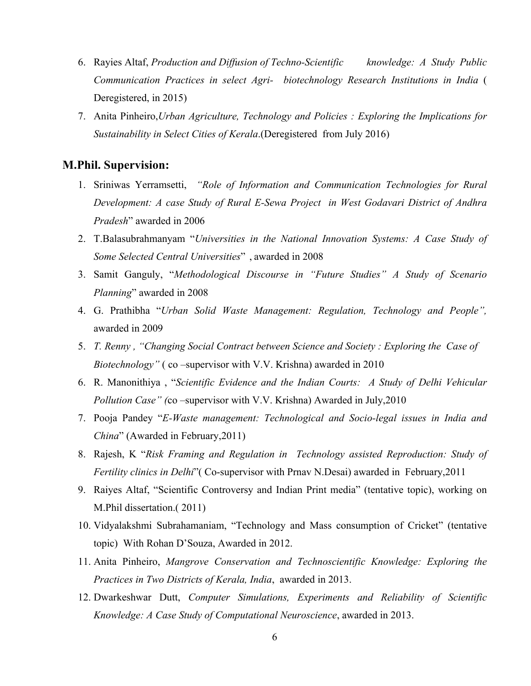- 6. Rayies Altaf, *Production and Diffusion of Techno-Scientific knowledge: A Study Public Communication Practices in select Agri- biotechnology Research Institutions in India* ( Deregistered, in 2015)
- 7. Anita Pinheiro,*Urban Agriculture, Technology and Policies : Exploring the Implications for Sustainability in Select Cities of Kerala*.(Deregistered from July 2016)

### **M.Phil. Supervision:**

- 1. Sriniwas Yerramsetti, *"Role of Information and Communication Technologies for Rural Development: A case Study of Rural E-Sewa Project in West Godavari District of Andhra Pradesh*" awarded in 2006
- 2. T.Balasubrahmanyam "*Universities in the National Innovation Systems: A Case Study of Some Selected Central Universities*" , awarded in 2008
- 3. Samit Ganguly, "*Methodological Discourse in "Future Studies" A Study of Scenario Planning*" awarded in 2008
- 4. G. Prathibha "*Urban Solid Waste Management: Regulation, Technology and People",*  awarded in 2009
- 5. *T. Renny , "Changing Social Contract between Science and Society : Exploring the Case of Biotechnology"* (co –supervisor with V.V. Krishna) awarded in 2010
- 6. R. Manonithiya , "*Scientific Evidence and the Indian Courts: A Study of Delhi Vehicular Pollution Case" (*co –supervisor with V.V. Krishna) Awarded in July,2010
- 7. Pooja Pandey "*E-Waste management: Technological and Socio-legal issues in India and China*" (Awarded in February,2011)
- 8. Rajesh, K "*Risk Framing and Regulation in Technology assisted Reproduction: Study of Fertility clinics in Delhi*"( Co-supervisor with Prnav N.Desai) awarded in February,2011
- 9. Raiyes Altaf, "Scientific Controversy and Indian Print media" (tentative topic), working on M.Phil dissertation.( 2011)
- 10. Vidyalakshmi Subrahamaniam, "Technology and Mass consumption of Cricket" (tentative topic) With Rohan D'Souza, Awarded in 2012.
- 11. Anita Pinheiro, *Mangrove Conservation and Technoscientific Knowledge: Exploring the Practices in Two Districts of Kerala, India*, awarded in 2013.
- 12. Dwarkeshwar Dutt, *Computer Simulations, Experiments and Reliability of Scientific Knowledge: A Case Study of Computational Neuroscience*, awarded in 2013.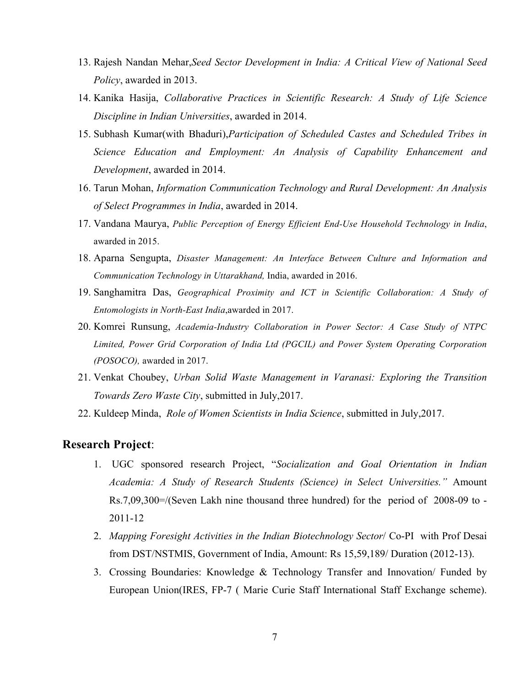- 13. Rajesh Nandan Mehar,*Seed Sector Development in India: A Critical View of National Seed Policy*, awarded in 2013.
- 14. Kanika Hasija, *Collaborative Practices in Scientific Research: A Study of Life Science Discipline in Indian Universities*, awarded in 2014.
- 15. Subhash Kumar(with Bhaduri),*Participation of Scheduled Castes and Scheduled Tribes in Science Education and Employment: An Analysis of Capability Enhancement and Development*, awarded in 2014.
- 16. Tarun Mohan, *Information Communication Technology and Rural Development: An Analysis of Select Programmes in India*, awarded in 2014.
- 17. Vandana Maurya, *Public Perception of Energy Efficient End-Use Household Technology in India*, awarded in 2015.
- 18. Aparna Sengupta, *Disaster Management: An Interface Between Culture and Information and Communication Technology in Uttarakhand,* India, awarded in 2016.
- 19. Sanghamitra Das, *Geographical Proximity and ICT in Scientific Collaboration: A Study of Entomologists in North-East India*,awarded in 2017.
- 20. Komrei Runsung, *Academia-Industry Collaboration in Power Sector: A Case Study of NTPC Limited, Power Grid Corporation of India Ltd (PGCIL) and Power System Operating Corporation (POSOCO),* awarded in 2017.
- 21. Venkat Choubey, *Urban Solid Waste Management in Varanasi: Exploring the Transition Towards Zero Waste City*, submitted in July,2017.
- 22. Kuldeep Minda, *Role of Women Scientists in India Science*, submitted in July,2017.

### **Research Project**:

- 1. UGC sponsored research Project, "*Socialization and Goal Orientation in Indian Academia: A Study of Research Students (Science) in Select Universities."* Amount Rs.7,09,300=/(Seven Lakh nine thousand three hundred) for the period of 2008-09 to - 2011-12
- 2. *Mapping Foresight Activities in the Indian Biotechnology Sector*/ Co-PI with Prof Desai from DST/NSTMIS, Government of India, Amount: Rs 15,59,189/ Duration (2012-13).
- 3. Crossing Boundaries: Knowledge & Technology Transfer and Innovation/ Funded by European Union(IRES, FP-7 ( Marie Curie Staff International Staff Exchange scheme).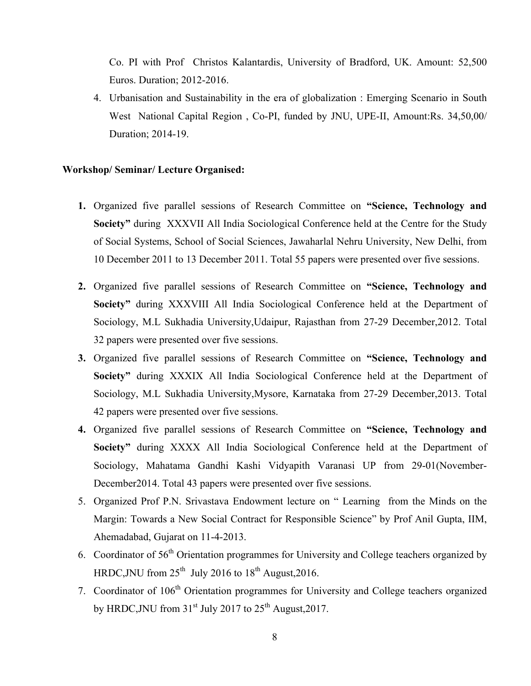Co. PI with Prof Christos Kalantardis, University of Bradford, UK. Amount: 52,500 Euros. Duration; 2012-2016.

4. Urbanisation and Sustainability in the era of globalization : Emerging Scenario in South West National Capital Region , Co-PI, funded by JNU, UPE-II, Amount:Rs. 34,50,00/ Duration; 2014-19.

#### **Workshop/ Seminar/ Lecture Organised:**

- **1.** Organized five parallel sessions of Research Committee on **"Science, Technology and Society"** during XXXVII All India Sociological Conference held at the Centre for the Study of Social Systems, School of Social Sciences, Jawaharlal Nehru University, New Delhi, from 10 December 2011 to 13 December 2011. Total 55 papers were presented over five sessions.
- **2.** Organized five parallel sessions of Research Committee on **"Science, Technology and Society"** during XXXVIII All India Sociological Conference held at the Department of Sociology, M.L Sukhadia University,Udaipur, Rajasthan from 27-29 December,2012. Total 32 papers were presented over five sessions.
- **3.** Organized five parallel sessions of Research Committee on **"Science, Technology and Society"** during XXXIX All India Sociological Conference held at the Department of Sociology, M.L Sukhadia University,Mysore, Karnataka from 27-29 December,2013. Total 42 papers were presented over five sessions.
- **4.** Organized five parallel sessions of Research Committee on **"Science, Technology and Society"** during XXXX All India Sociological Conference held at the Department of Sociology, Mahatama Gandhi Kashi Vidyapith Varanasi UP from 29-01(November-December2014. Total 43 papers were presented over five sessions.
- 5. Organized Prof P.N. Srivastava Endowment lecture on " Learning from the Minds on the Margin: Towards a New Social Contract for Responsible Science" by Prof Anil Gupta, IIM, Ahemadabad, Gujarat on 11-4-2013.
- 6. Coordinator of 56<sup>th</sup> Orientation programmes for University and College teachers organized by HRDC, JNU from  $25<sup>th</sup>$  July 2016 to  $18<sup>th</sup>$  August, 2016.
- 7. Coordinator of 106<sup>th</sup> Orientation programmes for University and College teachers organized by HRDC, JNU from  $31<sup>st</sup>$  July 2017 to  $25<sup>th</sup>$  August, 2017.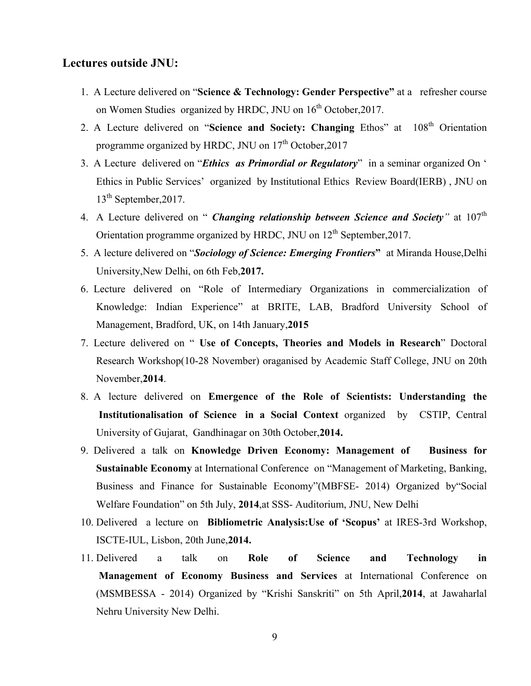# **Lectures outside JNU:**

- 1. A Lecture delivered on "**Science & Technology: Gender Perspective"** at a refresher course on Women Studies organized by HRDC, JNU on  $16<sup>th</sup>$  October, 2017.
- 2. A Lecture delivered on "**Science and Society: Changing** Ethos" at 108<sup>th</sup> Orientation programme organized by HRDC, JNU on  $17<sup>th</sup>$  October, 2017
- 3. A Lecture delivered on "*Ethics as Primordial or Regulatory*" in a seminar organized On ' Ethics in Public Services' organized by Institutional Ethics Review Board(IERB) , JNU on 13<sup>th</sup> September, 2017.
- 4. A Lecture delivered on " *Changing relationship between Science and Society*<sup>"</sup> at 107<sup>th</sup> Orientation programme organized by HRDC, JNU on 12<sup>th</sup> September, 2017.
- 5. A lecture delivered on "*Sociology of Science: Emerging Frontiers***"** at Miranda House,Delhi University,New Delhi, on 6th Feb,**2017.**
- 6. Lecture delivered on "Role of Intermediary Organizations in commercialization of Knowledge: Indian Experience" at BRITE, LAB, Bradford University School of Management, Bradford, UK, on 14th January,**2015**
- 7. Lecture delivered on " **Use of Concepts, Theories and Models in Research**" Doctoral Research Workshop(10-28 November) oraganised by Academic Staff College, JNU on 20th November,**2014**.
- 8. A lecture delivered on **Emergence of the Role of Scientists: Understanding the Institutionalisation of Science in a Social Context** organized by CSTIP, Central University of Gujarat, Gandhinagar on 30th October,**2014.**
- 9. Delivered a talk on **Knowledge Driven Economy: Management of Business for Sustainable Economy** at International Conference on "Management of Marketing, Banking, Business and Finance for Sustainable Economy"(MBFSE- 2014) Organized by"Social Welfare Foundation" on 5th July, **2014**,at SSS- Auditorium, JNU, New Delhi
- 10. Delivered a lecture on **Bibliometric Analysis:Use of 'Scopus'** at IRES-3rd Workshop, ISCTE-IUL, Lisbon, 20th June,**2014.**
- 11. Delivered a talk on **Role of Science and Technology in Management of Economy Business and Services** at International Conference on (MSMBESSA - 2014) Organized by "Krishi Sanskriti" on 5th April,**2014**, at Jawaharlal Nehru University New Delhi.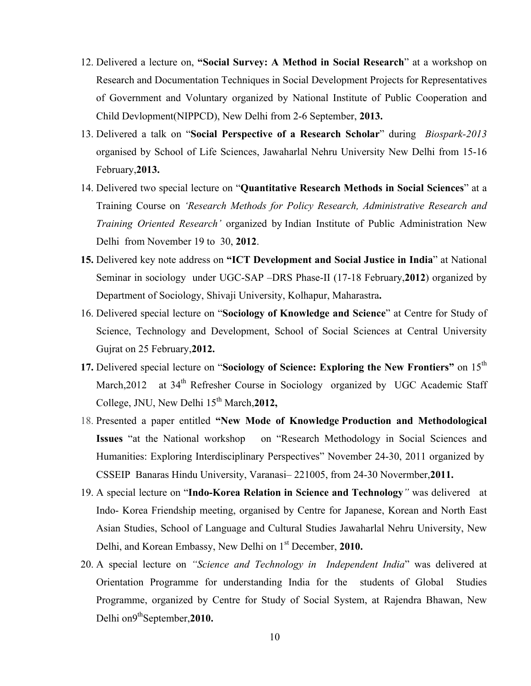- 12. Delivered a lecture on, **"Social Survey: A Method in Social Research**" at a workshop on Research and Documentation Techniques in Social Development Projects for Representatives of Government and Voluntary organized by National Institute of Public Cooperation and Child Devlopment(NIPPCD), New Delhi from 2-6 September, **2013.**
- 13. Delivered a talk on "**Social Perspective of a Research Scholar**" during *Biospark-2013* organised by School of Life Sciences, Jawaharlal Nehru University New Delhi from 15-16 February,**2013.**
- 14. Delivered two special lecture on "**Quantitative Research Methods in Social Sciences**" at a Training Course on *'Research Methods for Policy Research, Administrative Research and Training Oriented Research'* organized by Indian Institute of Public Administration New Delhi from November 19 to 30, **2012**.
- **15.** Delivered key note address on **"ICT Development and Social Justice in India**" at National Seminar in sociology under UGC-SAP –DRS Phase-II (17-18 February,**2012**) organized by Department of Sociology, Shivaji University, Kolhapur, Maharastra**.**
- 16. Delivered special lecture on "**Sociology of Knowledge and Science**" at Centre for Study of Science, Technology and Development, School of Social Sciences at Central University Gujrat on 25 February,**2012.**
- **17.** Delivered special lecture on "**Sociology of Science: Exploring the New Frontiers"** on 15th March,2012 at 34<sup>th</sup> Refresher Course in Sociology organized by UGC Academic Staff College, JNU, New Delhi  $15<sup>th</sup> March, 2012$ ,
- 18. Presented a paper entitled **"New Mode of Knowledge Production and Methodological Issues** "at the National workshop on "Research Methodology in Social Sciences and Humanities: Exploring Interdisciplinary Perspectives" November 24-30, 2011 organized by CSSEIP Banaras Hindu University, Varanasi– 221005, from 24-30 Novermber,**2011.**
- 19. A special lecture on "**Indo-Korea Relation in Science and Technology***"* was delivered at Indo- Korea Friendship meeting, organised by Centre for Japanese, Korean and North East Asian Studies, School of Language and Cultural Studies Jawaharlal Nehru University, New Delhi, and Korean Embassy, New Delhi on 1st December, **2010.**
- 20. A special lecture on *"Science and Technology in Independent India*" was delivered at Orientation Programme for understanding India for the students of Global Studies Programme, organized by Centre for Study of Social System, at Rajendra Bhawan, New Delhi on9<sup>th</sup>September, 2010.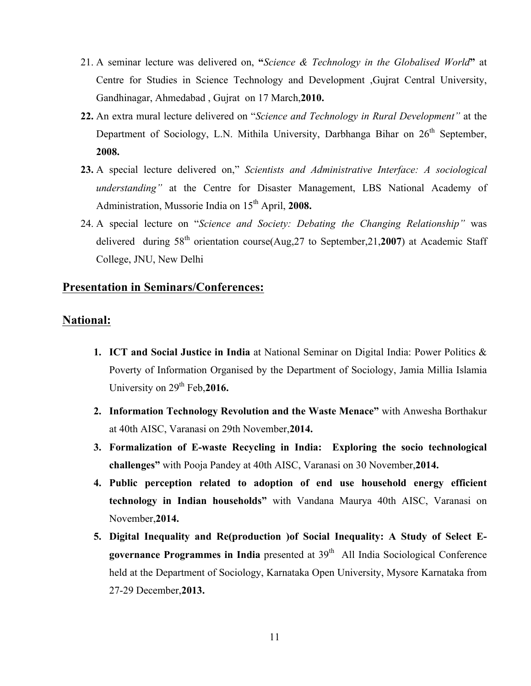- 21. A seminar lecture was delivered on, **"***Science & Technology in the Globalised World***"** at Centre for Studies in Science Technology and Development ,Gujrat Central University, Gandhinagar, Ahmedabad , Gujrat on 17 March,**2010.**
- **22.** An extra mural lecture delivered on "*Science and Technology in Rural Development"* at the Department of Sociology, L.N. Mithila University, Darbhanga Bihar on  $26<sup>th</sup>$  September, **2008.**
- **23.** A special lecture delivered on," *Scientists and Administrative Interface: A sociological understanding"* at the Centre for Disaster Management, LBS National Academy of Administration, Mussorie India on 15<sup>th</sup> April, 2008.
- 24. A special lecture on "*Science and Society: Debating the Changing Relationship"* was delivered during 58th orientation course(Aug,27 to September,21,**2007**) at Academic Staff College, JNU, New Delhi

# **Presentation in Seminars/Conferences:**

### **National:**

- **1. ICT and Social Justice in India** at National Seminar on Digital India: Power Politics & Poverty of Information Organised by the Department of Sociology, Jamia Millia Islamia University on 29<sup>th</sup> Feb, 2016.
- **2. Information Technology Revolution and the Waste Menace"** with Anwesha Borthakur at 40th AISC, Varanasi on 29th November,**2014.**
- **3. Formalization of E-waste Recycling in India: Exploring the socio technological challenges"** with Pooja Pandey at 40th AISC, Varanasi on 30 November,**2014.**
- **4. Public perception related to adoption of end use household energy efficient technology in Indian households"** with Vandana Maurya 40th AISC, Varanasi on November,**2014.**
- **5. Digital Inequality and Re(production )of Social Inequality: A Study of Select Egovernance Programmes in India** presented at 39<sup>th</sup> All India Sociological Conference held at the Department of Sociology, Karnataka Open University, Mysore Karnataka from 27-29 December,**2013.**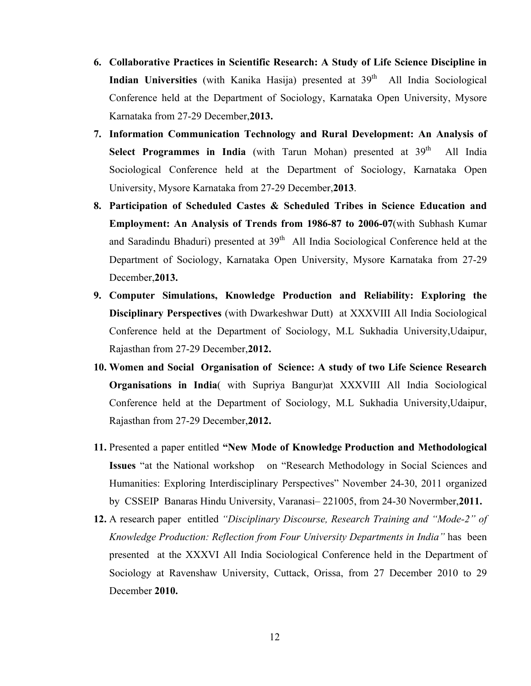- **6. Collaborative Practices in Scientific Research: A Study of Life Science Discipline in Indian Universities** (with Kanika Hasija) presented at 39<sup>th</sup> All India Sociological Conference held at the Department of Sociology, Karnataka Open University, Mysore Karnataka from 27-29 December,**2013.**
- **7. Information Communication Technology and Rural Development: An Analysis of Select Programmes in India** (with Tarun Mohan) presented at 39<sup>th</sup> All India Sociological Conference held at the Department of Sociology, Karnataka Open University, Mysore Karnataka from 27-29 December,**2013**.
- **8. Participation of Scheduled Castes & Scheduled Tribes in Science Education and Employment: An Analysis of Trends from 1986-87 to 2006-07**(with Subhash Kumar and Saradindu Bhaduri) presented at  $39<sup>th</sup>$  All India Sociological Conference held at the Department of Sociology, Karnataka Open University, Mysore Karnataka from 27-29 December,**2013.**
- **9. Computer Simulations, Knowledge Production and Reliability: Exploring the Disciplinary Perspectives** (with Dwarkeshwar Dutt) at XXXVIII All India Sociological Conference held at the Department of Sociology, M.L Sukhadia University,Udaipur, Rajasthan from 27-29 December,**2012.**
- **10. Women and Social Organisation of Science: A study of two Life Science Research Organisations in India**( with Supriya Bangur)at XXXVIII All India Sociological Conference held at the Department of Sociology, M.L Sukhadia University,Udaipur, Rajasthan from 27-29 December,**2012.**
- **11.** Presented a paper entitled **"New Mode of Knowledge Production and Methodological Issues** "at the National workshop on "Research Methodology in Social Sciences and Humanities: Exploring Interdisciplinary Perspectives" November 24-30, 2011 organized by CSSEIP Banaras Hindu University, Varanasi– 221005, from 24-30 Novermber,**2011.**
- **12.** A research paper entitled *"Disciplinary Discourse, Research Training and "Mode-2" of Knowledge Production: Reflection from Four University Departments in India"* has been presented at the XXXVI All India Sociological Conference held in the Department of Sociology at Ravenshaw University, Cuttack, Orissa, from 27 December 2010 to 29 December **2010.**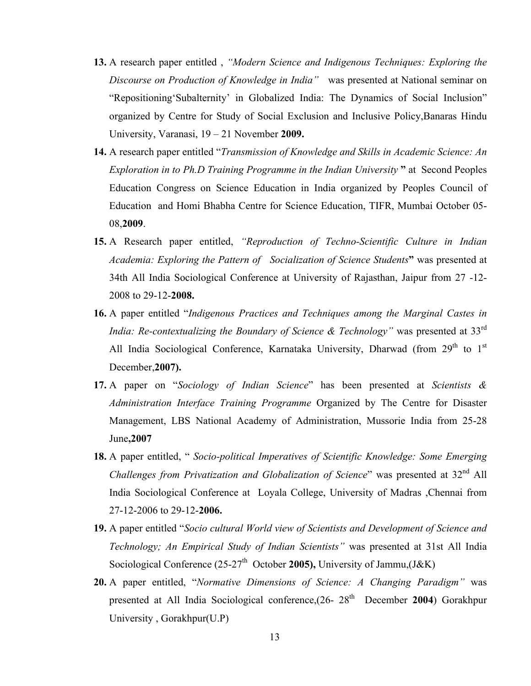- **13.** A research paper entitled , *"Modern Science and Indigenous Techniques: Exploring the Discourse on Production of Knowledge in India"* was presented at National seminar on "Repositioning'Subalternity' in Globalized India: The Dynamics of Social Inclusion" organized by Centre for Study of Social Exclusion and Inclusive Policy,Banaras Hindu University, Varanasi, 19 – 21 November **2009.**
- **14.** A research paper entitled "*Transmission of Knowledge and Skills in Academic Science: An Exploration in to Ph.D Training Programme in the Indian University* **"** at Second Peoples Education Congress on Science Education in India organized by Peoples Council of Education and Homi Bhabha Centre for Science Education, TIFR, Mumbai October 05- 08,**2009**.
- **15.** A Research paper entitled, *"Reproduction of Techno-Scientific Culture in Indian Academia: Exploring the Pattern of Socialization of Science Students***"** was presented at 34th All India Sociological Conference at University of Rajasthan, Jaipur from 27 -12- 2008 to 29-12-**2008.**
- **16.** A paper entitled "*Indigenous Practices and Techniques among the Marginal Castes in India: Re-contextualizing the Boundary of Science & Technology*" was presented at 33<sup>rd</sup> All India Sociological Conference, Karnataka University, Dharwad (from  $29<sup>th</sup>$  to  $1<sup>st</sup>$ December,**2007).**
- **17.** A paper on "*Sociology of Indian Science*" has been presented at *Scientists & Administration Interface Training Programme* Organized by The Centre for Disaster Management, LBS National Academy of Administration, Mussorie India from 25-28 June**,2007**
- **18.** A paper entitled, " *Socio-political Imperatives of Scientific Knowledge: Some Emerging Challenges from Privatization and Globalization of Science*" was presented at 32<sup>nd</sup> All India Sociological Conference at Loyala College, University of Madras ,Chennai from 27-12-2006 to 29-12-**2006.**
- **19.** A paper entitled "*Socio cultural World view of Scientists and Development of Science and Technology; An Empirical Study of Indian Scientists"* was presented at 31st All India Sociological Conference (25-27<sup>th</sup> October 2005), University of Jammu, (J&K)
- **20.** A paper entitled, "*Normative Dimensions of Science: A Changing Paradigm"* was presented at All India Sociological conference,(26- 28<sup>th</sup> December 2004) Gorakhpur University , Gorakhpur(U.P)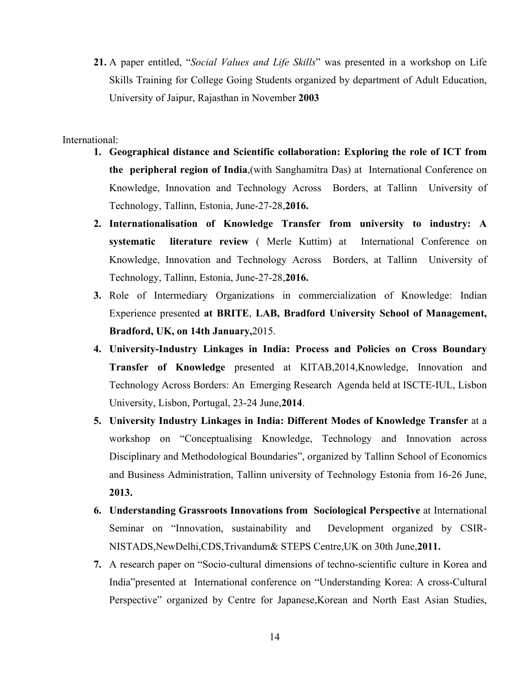**21.** A paper entitled, "*Social Values and Life Skills*" was presented in a workshop on Life Skills Training for College Going Students organized by department of Adult Education, University of Jaipur, Rajasthan in November **2003**

#### International:

- **1. Geographical distance and Scientific collaboration: Exploring the role of ICT from the peripheral region of India**,(with Sanghamitra Das) at International Conference on Knowledge, Innovation and Technology Across Borders, at Tallinn University of Technology, Tallinn, Estonia, June-27-28,**2016.**
- **2. Internationalisation of Knowledge Transfer from university to industry: A systematic literature review** ( Merle Kuttim) at International Conference on Knowledge, Innovation and Technology Across Borders, at Tallinn University of Technology, Tallinn, Estonia, June-27-28,**2016.**
- **3.** Role of Intermediary Organizations in commercialization of Knowledge: Indian Experience presented **at BRITE**, **LAB, Bradford University School of Management, Bradford, UK, on 14th January,**2015.
- **4. University-Industry Linkages in India: Process and Policies on Cross Boundary Transfer of Knowledge** presented at KITAB,2014,Knowledge, Innovation and Technology Across Borders: An Emerging Research Agenda held at ISCTE-IUL, Lisbon University, Lisbon, Portugal, 23-24 June,**2014**.
- **5. University Industry Linkages in India: Different Modes of Knowledge Transfer** at a workshop on "Conceptualising Knowledge, Technology and Innovation across Disciplinary and Methodological Boundaries", organized by Tallinn School of Economics and Business Administration, Tallinn university of Technology Estonia from 16-26 June, **2013.**
- **6. Understanding Grassroots Innovations from Sociological Perspective** at International Seminar on "Innovation, sustainability and Development organized by CSIR-NISTADS,NewDelhi,CDS,Trivandum& STEPS Centre,UK on 30th June,**2011.**
- **7.** A research paper on "Socio-cultural dimensions of techno-scientific culture in Korea and India"presented at International conference on "Understanding Korea: A cross-Cultural Perspective" organized by Centre for Japanese,Korean and North East Asian Studies,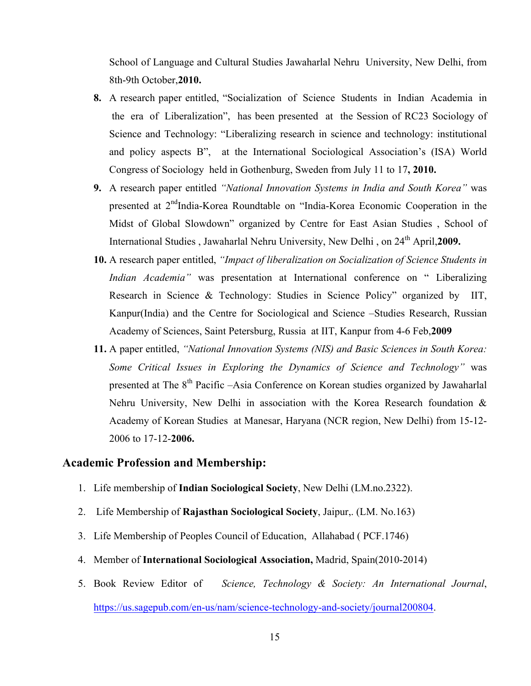School of Language and Cultural Studies Jawaharlal Nehru University, New Delhi, from 8th-9th October,**2010.**

- **8.** A research paper entitled, "Socialization of Science Students in Indian Academia in the era of Liberalization", has been presented at the Session of RC23 Sociology of Science and Technology: "Liberalizing research in science and technology: institutional and policy aspects B", at the International Sociological Association's (ISA) World Congress of Sociology held in Gothenburg, Sweden from July 11 to 17**, 2010.**
- **9.** A research paper entitled *"National Innovation Systems in India and South Korea"* was presented at  $2<sup>nd</sup>$ India-Korea Roundtable on "India-Korea Economic Cooperation in the Midst of Global Slowdown" organized by Centre for East Asian Studies , School of International Studies, Jawaharlal Nehru University, New Delhi, on 24<sup>th</sup> April, 2009.
- **10.** A research paper entitled, *"Impact of liberalization on Socialization of Science Students in Indian Academia*" was presentation at International conference on " Liberalizing Research in Science & Technology: Studies in Science Policy" organized by IIT, Kanpur(India) and the Centre for Sociological and Science –Studies Research, Russian Academy of Sciences, Saint Petersburg, Russia at IIT, Kanpur from 4-6 Feb,**2009**
- **11.** A paper entitled, *"National Innovation Systems (NIS) and Basic Sciences in South Korea: Some Critical Issues in Exploring the Dynamics of Science and Technology"* was presented at The  $8<sup>th</sup>$  Pacific –Asia Conference on Korean studies organized by Jawaharlal Nehru University, New Delhi in association with the Korea Research foundation & Academy of Korean Studies at Manesar, Haryana (NCR region, New Delhi) from 15-12- 2006 to 17-12-**2006.**

### **Academic Profession and Membership:**

- 1. Life membership of **Indian Sociological Society**, New Delhi (LM.no.2322).
- 2. Life Membership of **Rajasthan Sociological Society**, Jaipur,. (LM. No.163)
- 3. Life Membership of Peoples Council of Education, Allahabad ( PCF.1746)
- 4. Member of **International Sociological Association,** Madrid, Spain(2010-2014)
- 5. Book Review Editor of *Science, Technology & Society: An International Journal*, https://us.sagepub.com/en-us/nam/science-technology-and-society/journal200804.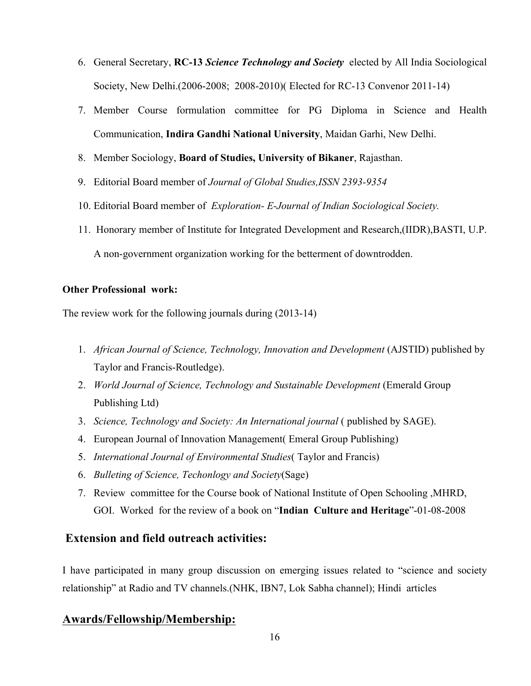- 6. General Secretary, **RC-13** *Science Technology and Society* elected by All India Sociological Society, New Delhi.(2006-2008; 2008-2010)( Elected for RC-13 Convenor 2011-14)
- 7. Member Course formulation committee for PG Diploma in Science and Health Communication, **Indira Gandhi National University**, Maidan Garhi, New Delhi.
- 8. Member Sociology, **Board of Studies, University of Bikaner**, Rajasthan.
- 9. Editorial Board member of *Journal of Global Studies,ISSN 2393-9354*
- 10. Editorial Board member of *Exploration- E-Journal of Indian Sociological Society.*
- 11. Honorary member of Institute for Integrated Development and Research,(IIDR),BASTI, U.P. A non-government organization working for the betterment of downtrodden.

### **Other Professional work:**

The review work for the following journals during (2013-14)

- 1. *African Journal of Science, Technology, Innovation and Development* (AJSTID) published by Taylor and Francis-Routledge).
- 2. *World Journal of Science, Technology and Sustainable Development* (Emerald Group Publishing Ltd)
- 3. *Science, Technology and Society: An International journal (* published by SAGE).
- 4. European Journal of Innovation Management( Emeral Group Publishing)
- 5. *International Journal of Environmental Studies*( Taylor and Francis)
- 6. *Bulleting of Science, Techonlogy and Society*(Sage)
- 7. Review committee for the Course book of National Institute of Open Schooling ,MHRD, GOI. Worked for the review of a book on "**Indian Culture and Heritage**"-01-08-2008

# **Extension and field outreach activities:**

I have participated in many group discussion on emerging issues related to "science and society relationship" at Radio and TV channels.(NHK, IBN7, Lok Sabha channel); Hindi articles

# **Awards/Fellowship/Membership:**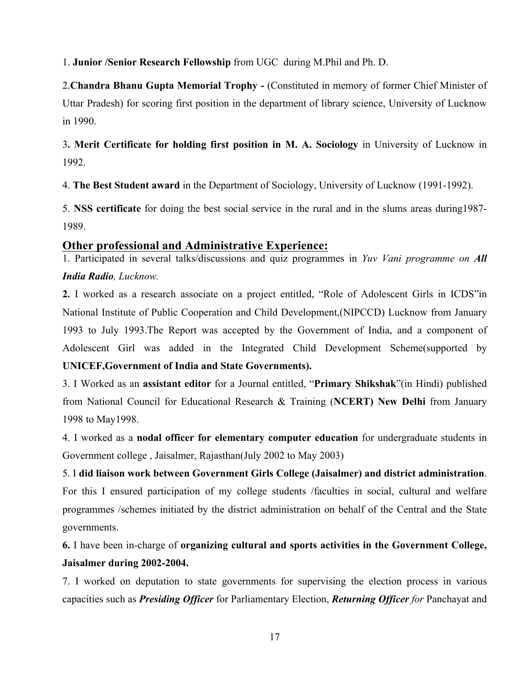1. **Junior /Senior Research Fellowship** from UGC during M.Phil and Ph. D.

2.**Chandra Bhanu Gupta Memorial Trophy -** (Constituted in memory of former Chief Minister of Uttar Pradesh) for scoring first position in the department of library science, University of Lucknow in 1990.

3**. Merit Certificate for holding first position in M. A. Sociology** in University of Lucknow in 1992.

4. **The Best Student award** in the Department of Sociology, University of Lucknow (1991-1992).

5. **NSS certificate** for doing the best social service in the rural and in the slums areas during1987- 1989.

# **Other professional and Administrative Experience:**

1. Participated in several talks/discussions and quiz programmes in *Yuv Vani programme on All India Radio, Lucknow.*

**2.** I worked as a research associate on a project entitled, "Role of Adolescent Girls in ICDS"in National Institute of Public Cooperation and Child Development,(NIPCCD) Lucknow from January 1993 to July 1993.The Report was accepted by the Government of India, and a component of Adolescent Girl was added in the Integrated Child Development Scheme(supported by **UNICEF,Government of India and State Governments).**

3. I Worked as an **assistant editor** for a Journal entitled, "**Primary Shikshak**"(in Hindi) published from National Council for Educational Research & Training (**NCERT) New Delhi** from January 1998 to May1998.

4. I worked as a **nodal officer for elementary computer education** for undergraduate students in Government college , Jaisalmer, Rajasthan(July 2002 to May 2003)

# 5. I **did liaison work between Government Girls College (Jaisalmer) and district administration**.

For this I ensured participation of my college students /faculties in social, cultural and welfare programmes /schemes initiated by the district administration on behalf of the Central and the State governments.

**6.** I have been in-charge of **organizing cultural and sports activities in the Government College, Jaisalmer during 2002-2004.**

7. I worked on deputation to state governments for supervising the election process in various capacities such as *Presiding Officer* for Parliamentary Election, *Returning Officer for* Panchayat and